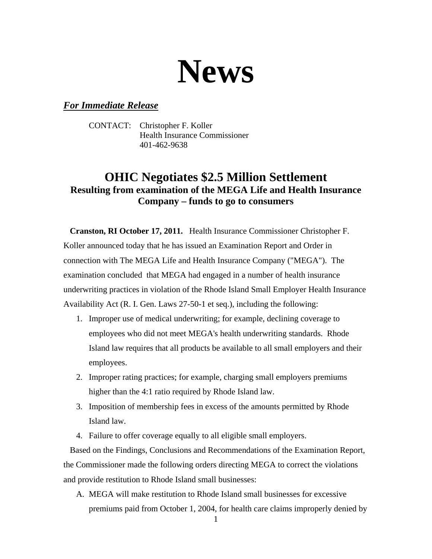

## *For Immediate Release*

CONTACT: Christopher F. Koller Health Insurance Commissioner 401-462-9638

## **OHIC Negotiates \$2.5 Million Settlement Resulting from examination of the MEGA Life and Health Insurance Company – funds to go to consumers**

 **Cranston, RI October 17, 2011.** Health Insurance Commissioner Christopher F. Koller announced today that he has issued an Examination Report and Order in connection with The MEGA Life and Health Insurance Company ("MEGA"). The examination concluded that MEGA had engaged in a number of health insurance underwriting practices in violation of the Rhode Island Small Employer Health Insurance Availability Act (R. I. Gen. Laws 27-50-1 et seq.), including the following:

- 1. Improper use of medical underwriting; for example, declining coverage to employees who did not meet MEGA's health underwriting standards. Rhode Island law requires that all products be available to all small employers and their employees.
- 2. Improper rating practices; for example, charging small employers premiums higher than the 4:1 ratio required by Rhode Island law.
- 3. Imposition of membership fees in excess of the amounts permitted by Rhode Island law.
- 4. Failure to offer coverage equally to all eligible small employers.

 Based on the Findings, Conclusions and Recommendations of the Examination Report, the Commissioner made the following orders directing MEGA to correct the violations and provide restitution to Rhode Island small businesses:

A. MEGA will make restitution to Rhode Island small businesses for excessive premiums paid from October 1, 2004, for health care claims improperly denied by